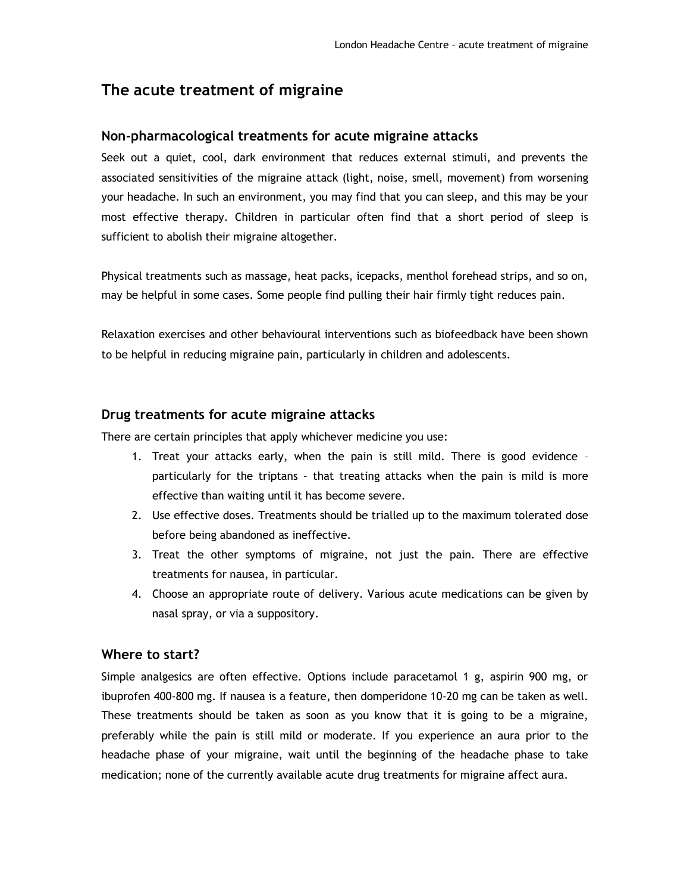# **The acute treatment of migraine**

### **Non-pharmacological treatments for acute migraine attacks**

Seek out a quiet, cool, dark environment that reduces external stimuli, and prevents the associated sensitivities of the migraine attack (light, noise, smell, movement) from worsening your headache. In such an environment, you may find that you can sleep, and this may be your most effective therapy. Children in particular often find that a short period of sleep is sufficient to abolish their migraine altogether.

Physical treatments such as massage, heat packs, icepacks, menthol forehead strips, and so on, may be helpful in some cases. Some people find pulling their hair firmly tight reduces pain.

Relaxation exercises and other behavioural interventions such as biofeedback have been shown to be helpful in reducing migraine pain, particularly in children and adolescents.

### **Drug treatments for acute migraine attacks**

There are certain principles that apply whichever medicine you use:

- 1. Treat your attacks early, when the pain is still mild. There is good evidence particularly for the triptans – that treating attacks when the pain is mild is more effective than waiting until it has become severe.
- 2. Use effective doses. Treatments should be trialled up to the maximum tolerated dose before being abandoned as ineffective.
- 3. Treat the other symptoms of migraine, not just the pain. There are effective treatments for nausea, in particular.
- 4. Choose an appropriate route of delivery. Various acute medications can be given by nasal spray, or via a suppository.

## **Where to start?**

Simple analgesics are often effective. Options include paracetamol 1 g, aspirin 900 mg, or ibuprofen 400-800 mg. If nausea is a feature, then domperidone 10-20 mg can be taken as well. These treatments should be taken as soon as you know that it is going to be a migraine, preferably while the pain is still mild or moderate. If you experience an aura prior to the headache phase of your migraine, wait until the beginning of the headache phase to take medication; none of the currently available acute drug treatments for migraine affect aura.